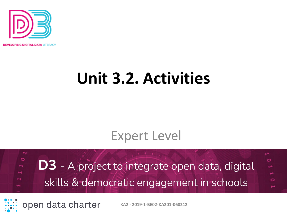

**OPING DIGITAL DATA LITERACY** 

# **Unit 3.2. Activities**

### Expert Level

 $\circ$ Ó **D3** - A project to integrate open data, digital skills & democratic engagement in schools

open data charter

**KA2 - 2019-1-BE02-KA201-060212**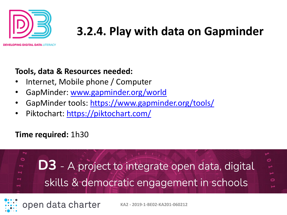

ING DIGITAL DATA LITERACY

#### **Tools, data & Resources needed:**

- Internet, Mobile phone / Computer
- GapMinder: [www.gapminder.org/world](http://www.gapminder.org/world)
- GapMinder tools:<https://www.gapminder.org/tools/>
- Piktochart:<https://piktochart.com/>

#### **Time required:** 1h30



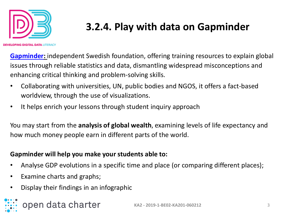

PING DIGITAL DATA LITERACY

# **3.2.4. Play with data on Gapminder**

**[Gapminder:](https://www.gapminder.org/tools/)** independent Swedish foundation, offering training resources to explain global issues through reliable statistics and data, dismantling widespread misconceptions and enhancing critical thinking and problem-solving skills.

- Collaborating with universities, UN, public bodies and NGOS, it offers a fact-based worldview, through the use of visualizations.
- It helps enrich your lessons through student inquiry approach

You may start from the **analysis of global wealth**, examining levels of life expectancy and how much money people earn in different parts of the world.

#### **Gapminder will help you make your students able to:**

- Analyse GDP evolutions in a specific time and place (or comparing different places);
- Examine charts and graphs;
- Display their findings in an infographic

# open data charter

**KA2 - 2019-1-BE02-KA201-060212** 3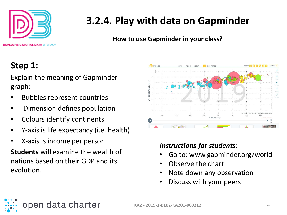

**How to use Gapminder in your class?**

#### **Step 1:**

Explain the meaning of Gapminder graph:

- Bubbles represent countries
- Dimension defines population
- Colours identify continents
- Y-axis is life expectancy (i.e. health)
- X-axis is income per person.

**Students** will examine the wealth of nations based on their GDP and its evolution.



#### *Instructions for students*:

- Go to: www.gapminder.org/world
- Observe the chart
- Note down any observation
- Discuss with your peers

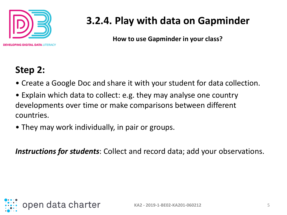

**How to use Gapminder in your class?**

#### **Step 2:**

- Create a Google Doc and share it with your student for data collection.
- Explain which data to collect: e.g. they may analyse one country developments over time or make comparisons between different countries.
- They may work individually, in pair or groups.

*Instructions for students*: Collect and record data; add your observations.

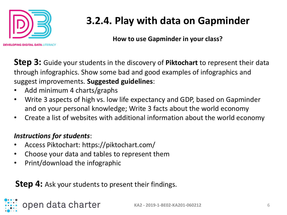

**How to use Gapminder in your class?**

**Step 3:** Guide your students in the discovery of **Piktochart** to represent their data through infographics. Show some bad and good examples of infographics and suggest improvements. **Suggested guidelines**:

- Add minimum 4 charts/graphs
- Write 3 aspects of high vs. low life expectancy and GDP, based on Gapminder and on your personal knowledge; Write 3 facts about the world economy
- Create a list of websites with additional information about the world economy

#### *Instructions for students*:

- Access Piktochart: https://piktochart.com/
- Choose your data and tables to represent them
- Print/download the infographic

open data charter

#### **Step 4:** Ask your students to present their findings.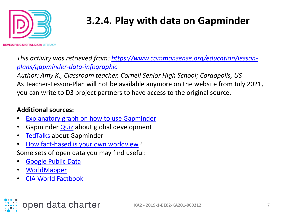

**OPING DIGITAL DATA LITERACY** 

*[This activity was retrieved from: https://www.commonsense.org/education/lesson](https://www.commonsense.org/education/lesson-plans/gapminder-data-infographic)plans/gapminder-data-infographic*

*Author: Amy K., Classroom teacher, Cornell Senior High School; Coraopolis, US* As Teacher-Lesson-Plan will not be available anymore on the website from July 2021, you can write to D3 project partners to have access to the original source.

#### **Additional sources:**

- **[Explanatory graph on how to use Gapminder](https://static.gapminder.org/GapminderMedia/wp-uploads/tutorial/Gapminder_World_Guide.pdf)**
- Gapminder [Quiz](https://s3.eu-west-1.amazonaws.com/static.gapminder.org/GapminderMedia/wp-uploads/20180922031927/Gapminder-quiz.pdf) about global development
- [TedTalks](https://www.gapminder.org/videos/) about Gapminder
- [How fact-based is your own worldview?](https://upgrader.gapminder.org/)
- Some sets of open data you may find useful:
- [Google Public Data](https://www.google.com/publicdata/directory)
- **[WorldMapper](https://worldmapper.org/)**
- [CIA World Factbook](http://www.kmlfactbook.org/#&db=ciafb&table=2002&col=2008&)

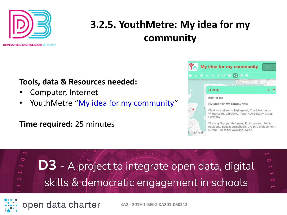

# **3.2.5. YouthMetre: My idea for my community**

**DEVELOPING DIGITAL DATA LITERACY** 

#### **Tools, data & Resources needed:**

- Computer, Internet
- YouthMetre "[My idea for my community](https://bit.ly/1XmLJwr)"

#### **Time required:** 25 minutes

open data charter



**KA2 - 2019-1-BE02-KA201-060212**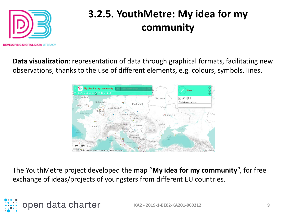

# **3.2.5. YouthMetre: My idea for my community**

**Data visualization**: representation of data through graphical formats, facilitating new observations, thanks to the use of different elements, e.g. colours, symbols, lines.



The YouthMetre project developed the map "**My idea for my community**", for free exchange of ideas/projects of youngsters from different EU countries.

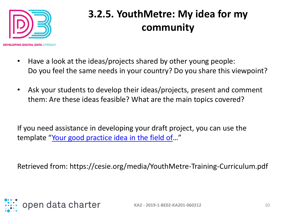

# **3.2.5. YouthMetre: My idea for my community**

- Have a look at the ideas/projects shared by other young people: Do you feel the same needs in your country? Do you share this viewpoint?
- Ask your students to develop their ideas/projects, present and comment them: Are these ideas feasible? What are the main topics covered?

If you need assistance in developing your draft project, you can use the template "[Your good practice idea in the field of](https://youthmetre.eu/good-practices-youth-perceptions/your-good-practice-idea/)..."

Retrieved from: https://cesie.org/media/YouthMetre-Training-Curriculum.pdf

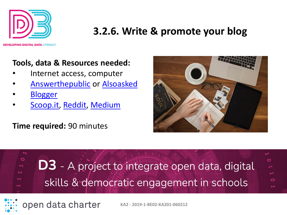

**ING DIGITAL DATA LITERACY** 

#### **Tools, data & Resources needed:**

- Internet access, computer
- [Answerthepublic](https://answerthepublic.com/) or [Alsoasked](https://alsoasked.com/)
- **[Blogger](https://www.blogger.com/about/)**
- [Scoop.it](https://www.scoop.it/), [Reddit,](https://www.reddit.com/) [Medium](https://medium.com/)

**Time required:** 90 minutes

open data charter





**KA2 - 2019-1-BE02-KA201-060212**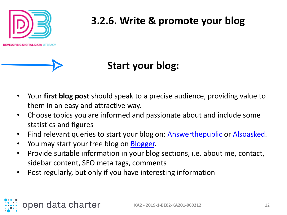

### **Start your blog:**

- Your **first blog post** should speak to a precise audience, providing value to them in an easy and attractive way.
- Choose topics you are informed and passionate about and include some statistics and figures
- Find relevant queries to start your blog on: [Answerthepublic](https://answerthepublic.com/) or [Alsoasked](https://alsoasked.com/).
- You may start your free blog on [Blogger.](https://www.blogger.com/about/)
- Provide suitable information in your blog sections, i.e. about me, contact, sidebar content, SEO meta tags, comments
- Post regularly, but only if you have interesting information

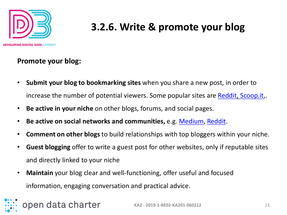

**PING DIGITAL DATA LITERACY** 

#### **Promote your blog:**

- **Submit your blog to bookmarking sites** when you share a new post, in order to increase the number of potential viewers. Some popular sites are [Reddit](https://www.reddit.com/), [Scoop.it,](https://www.scoop.it/).
- **Be active in your niche** on other blogs, forums, and social pages.
- **Be active on social networks and communities,** e.g. [Medium,](https://medium.com/) [Reddit.](https://www.reddit.com/)
- **Comment on other blogs** to build relationships with top bloggers within your niche.
- **Guest blogging** offer to write a guest post for other websites, only if reputable sites and directly linked to your niche
- **Maintain** your blog clear and well-functioning, offer useful and focused information, engaging conversation and practical advice.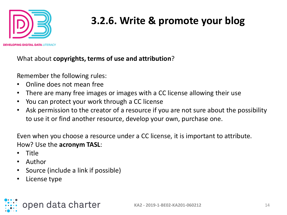

What about **copyrights, terms of use and attribution**?

Remember the following rules:

- Online does not mean free
- There are many free images or images with a CC license allowing their use
- You can protect your work through a CC license
- Ask permission to the creator of a resource if you are not sure about the possibility to use it or find another resource, develop your own, purchase one.

Even when you choose a resource under a CC license, it is important to attribute. How? Use the **acronym TASL**:

- Title
- Author
- Source (include a link if possible)
- License type